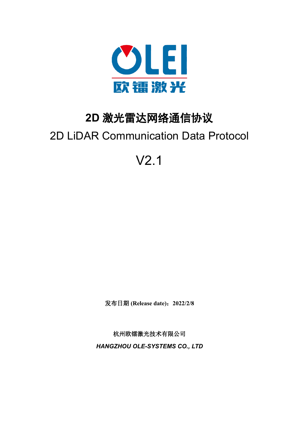

# **2D** 激光雷达网络通信协议

# 2D LiDAR Communication Data Protocol

# V2.1

发布日期 **(Release date)**:**2022/2/8**

杭州欧镭激光技术有限公司 *HANGZHOU OLE-SYSTEMS CO., LTD*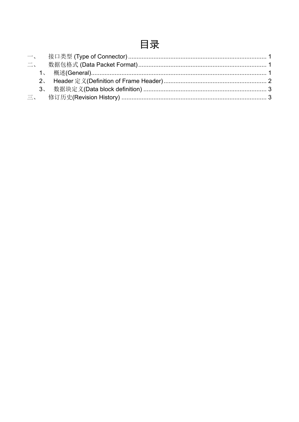## 目录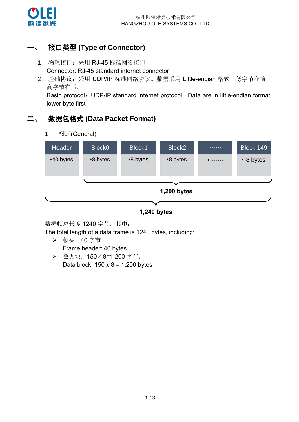

### <span id="page-2-0"></span>一、 接口类型 **(Type of Connector)**

- 1、物理接口: 采用 RJ-45 标准网络接口 Connector: RJ-45 standard internet connector
- 2、基础协议: 采用 UDP/IP 标准网络协议。数据采用 Little-endian 格式, 低字节在前, 高字节在后。

Basic protocol: UDP/IP standard internet protocol. Data are in little-endian format, lower byte first

#### <span id="page-2-2"></span><span id="page-2-1"></span>二、 数据包格式 **(Data Packet Format)**

1、 概述(General)



数据帧总长度 1240 字节, 其中:

The total length of a data frame is 1240 bytes, including:

- ➢ 帧头:40 字节。 Frame header: 40 bytes
- ➢ 数据块:150×8=1,200 字节。 Data block:  $150 \times 8 = 1,200$  bytes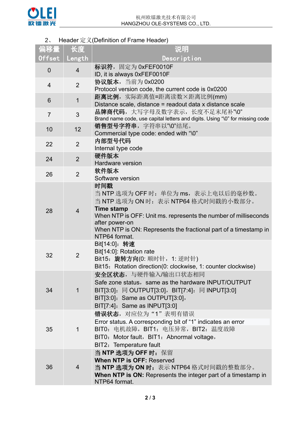

#### 2、 Header 定义(Definition of Frame Header)

<span id="page-3-0"></span>

| 偏移量            | 长度             | 说明                                                                                                                                                                                                                                                                                 |
|----------------|----------------|------------------------------------------------------------------------------------------------------------------------------------------------------------------------------------------------------------------------------------------------------------------------------------|
| Offset         | Length         | Description                                                                                                                                                                                                                                                                        |
| $\overline{0}$ | $\overline{4}$ | 标识符, 固定为 0xFEF0010F<br>ID, it is always 0xFEF0010F                                                                                                                                                                                                                                 |
| $\overline{4}$ | $\overline{2}$ | 协议版本, 当前为 0x0200<br>Protocol version code, the current code is 0x0200                                                                                                                                                                                                              |
| 6              | $\mathbf 1$    | 距离比例, 实际距离值=距离读数×距离比例(mm)<br>Distance scale, distance = readout data x distance scale                                                                                                                                                                                              |
| $\overline{7}$ | 3              | 品牌商代码,大写字母及数字表示,长度不足末尾补"\0"<br>Brand name code, use capital letters and digits. Using "\0" for missing code                                                                                                                                                                        |
| 10             | 12             | 销售型号字符串,字符串以"\0"结尾。<br>Commercial type code: ended with "\0"                                                                                                                                                                                                                       |
| 22             | $\overline{2}$ | 内部型号代码<br>Internal type code                                                                                                                                                                                                                                                       |
| 24             | $\overline{2}$ | 硬件版本<br><b>Hardware version</b>                                                                                                                                                                                                                                                    |
| 26             | $\overline{2}$ | 软件版本<br>Software version                                                                                                                                                                                                                                                           |
| 28             | $\overline{4}$ | 时间戳<br>当 NTP 选项为 OFF 时: 单位为 ms, 表示上电以后的毫秒数。<br>当 NTP 选项为 ON 时: 表示 NTP64 格式时间戳的小数部分。<br><b>Time stamp</b><br>When NTP is OFF: Unit ms. represents the number of milliseconds<br>after power-on<br>When NTP is ON: Represents the fractional part of a timestamp in<br>NTP64 format. |
| 32             | $\overline{2}$ | Bit[14:0]: 转速<br>Bit[14:0]: Rotation rate<br>Bit15: 旋转方向(0: 顺时针, 1: 逆时针)<br>Bit15: Rotation direction(0: clockwise, 1: counter clockwise)                                                                                                                                          |
| 34             | 1              | 安全区状态, 与硬件输入/输出口状态相同<br>Safe zone status, same as the hardware INPUT/OUTPUT<br>BIT[3:0]: 同 OUTPUT[3:0], BIT[7:4]: 同 INPUT[3:0]<br>$BIT[3:0]$ : Same as OUTPUT $[3:0]$ ,<br>BIT[7:4]: Same as INPUT[3:0]                                                                            |
| 35             | $\mathbf{1}$   | 错误状态, 对应位为"1"表明有错误<br>Error status. A corresponding bit of "1" indicates an error<br>BIT0: 电机故障, BIT1: 电压异常, BIT2: 温度故障<br>BIT0: Motor fault, BIT1: Abnormal voltage,<br>BIT2: Temperature fault                                                                                   |
| 36             | $\overline{4}$ | 当 NTP 选项为 OFF 时: 保留<br><b>When NTP is OFF: Reserved</b><br>当 NTP 选项为 ON 时: 表示 NTP64 格式时间戳的整数部分。<br><b>When NTP is ON: Represents the integer part of a timestamp in</b><br>NTP64 format.                                                                                           |